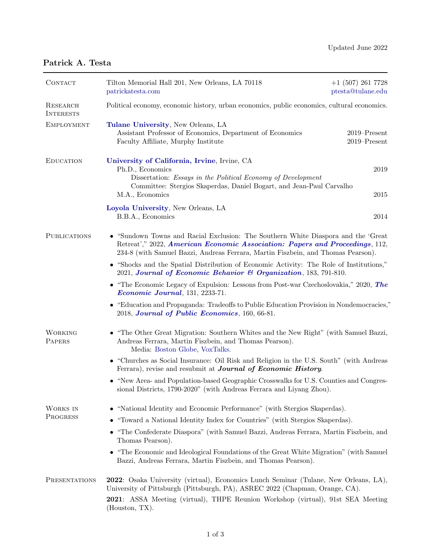## Patrick A. Testa

| CONTACT                      | Tilton Memorial Hall 201, New Orleans, LA 70118<br>patrickatesta.com                                                                                                                                                                                                      | $+1$ (507) 261 7728<br>ptesta@tulane.edu |  |
|------------------------------|---------------------------------------------------------------------------------------------------------------------------------------------------------------------------------------------------------------------------------------------------------------------------|------------------------------------------|--|
| RESEARCH<br><b>INTERESTS</b> | Political economy, economic history, urban economics, public economics, cultural economics.                                                                                                                                                                               |                                          |  |
| <b>EMPLOYMENT</b>            | Tulane University, New Orleans, LA<br>Assistant Professor of Economics, Department of Economics<br>Faculty Affiliate, Murphy Institute                                                                                                                                    | $2019$ -Present<br>$2019 -$ Present      |  |
| <b>EDUCATION</b>             | University of California, Irvine, Irvine, CA<br>Ph.D., Economics<br>Dissertation: Essays in the Political Economy of Development<br>Committee: Stergios Skaperdas, Daniel Bogart, and Jean-Paul Carvalho<br>M.A., Economics                                               | 2019<br>2015                             |  |
|                              | Loyola University, New Orleans, LA<br>B.B.A., Economics                                                                                                                                                                                                                   | 2014                                     |  |
| <b>PUBLICATIONS</b>          | • "Sundown Towns and Racial Exclusion: The Southern White Diaspora and the 'Great<br>Retreat'," 2022, American Economic Association: Papers and Proceedings, 112,<br>234-8 (with Samuel Bazzi, Andreas Ferrara, Martin Fiszbein, and Thomas Pearson).                     |                                          |  |
|                              | • "Shocks and the Spatial Distribution of Economic Activity: The Role of Institutions,"<br>2021, Journal of Economic Behavior & Organization, 183, 791-810.                                                                                                               |                                          |  |
|                              | • "The Economic Legacy of Expulsion: Lessons from Post-war Czechoslovakia," 2020, The<br>Economic Journal, 131, 2233-71.                                                                                                                                                  |                                          |  |
|                              | • "Education and Propaganda: Tradeoffs to Public Education Provision in Nondemocracies,"<br>2018, Journal of Public Economics, 160, 66-81.                                                                                                                                |                                          |  |
| <b>WORKING</b><br>PAPERS     | • "The Other Great Migration: Southern Whites and the New Right" (with Samuel Bazzi,<br>Andreas Ferrara, Martin Fiszbein, and Thomas Pearson).<br>Media: Boston Globe, VoxTalks.                                                                                          |                                          |  |
|                              | • "Churches as Social Insurance: Oil Risk and Religion in the U.S. South" (with Andreas<br>Ferrara), revise and resubmit at <b>Journal of Economic History</b> .                                                                                                          |                                          |  |
|                              | • "New Area- and Population-based Geographic Crosswalks for U.S. Counties and Congres-<br>sional Districts, 1790-2020" (with Andreas Ferrara and Liyang Zhou).                                                                                                            |                                          |  |
| WORKS IN<br>PROGRESS         | • "National Identity and Economic Performance" (with Stergios Skaperdas).                                                                                                                                                                                                 |                                          |  |
|                              | "Toward a National Identity Index for Countries" (with Stergios Skaperdas).<br>٠                                                                                                                                                                                          |                                          |  |
|                              | • "The Confederate Diaspora" (with Samuel Bazzi, Andreas Ferrara, Martin Fiszbein, and<br>Thomas Pearson).                                                                                                                                                                |                                          |  |
|                              | • "The Economic and Ideological Foundations of the Great White Migration" (with Samuel<br>Bazzi, Andreas Ferrara, Martin Fiszbein, and Thomas Pearson).                                                                                                                   |                                          |  |
| PRESENTATIONS                | 2022: Osaka University (virtual), Economics Lunch Seminar (Tulane, New Orleans, LA),<br>University of Pittsburgh (Pittsburgh, PA), ASREC 2022 (Chapman, Orange, CA).<br>2021: ASSA Meeting (virtual), THPE Reunion Workshop (virtual), 91st SEA Meeting<br>(Houston, TX). |                                          |  |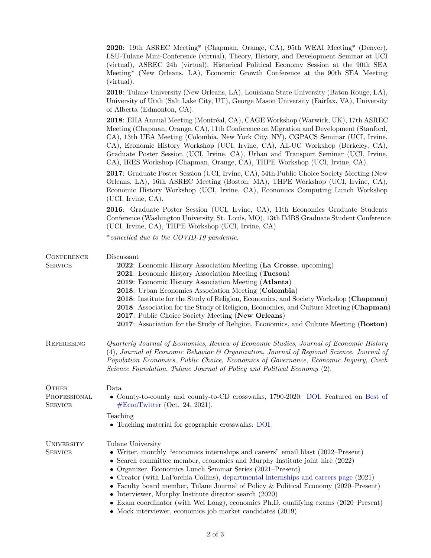|                                         | 2020: 19th ASREC Meeting* (Chapman, Orange, CA), 95th WEAI Meeting* (Denver),<br>LSU-Tulane Mini-Conference (virtual), Theory, History, and Development Seminar at UCI<br>(virtual), ASREC 24h (virtual), Historical Political Economy Session at the 90th SEA<br>Meeting* (New Orleans, LA), Economic Growth Conference at the 90th SEA Meeting<br>(virtual).                                                                                                                                                                                                                                                                                         |
|-----------------------------------------|--------------------------------------------------------------------------------------------------------------------------------------------------------------------------------------------------------------------------------------------------------------------------------------------------------------------------------------------------------------------------------------------------------------------------------------------------------------------------------------------------------------------------------------------------------------------------------------------------------------------------------------------------------|
|                                         | <b>2019</b> : Tulane University (New Orleans, LA), Louisiana State University (Baton Rouge, LA),<br>University of Utah (Salt Lake City, UT), George Mason University (Fairfax, VA), University<br>of Alberta (Edmonton, CA).                                                                                                                                                                                                                                                                                                                                                                                                                           |
|                                         | 2018: EHA Annual Meeting (Montréal, CA), CAGE Workshop (Warwick, UK), 17th ASREC<br>Meeting (Chapman, Orange, CA), 11th Conference on Migration and Development (Stanford,<br>CA), 13th UEA Meeting (Colombia, New York City, NY), CGPACS Seminar (UCI, Irvine,<br>CA), Economic History Workshop (UCI, Irvine, CA), All-UC Workshop (Berkeley, CA),<br>Graduate Poster Session (UCI, Irvine, CA), Urban and Transport Seminar (UCI, Irvine,<br>CA), IRES Workshop (Chapman, Orange, CA), THPE Workshop (UCI, Irvine, CA).                                                                                                                             |
|                                         | 2017: Graduate Poster Session (UCI, Irvine, CA), 54th Public Choice Society Meeting (New<br>Orleans, LA), 16th ASREC Meeting (Boston, MA), THPE Workshop (UCI, Irvine, CA),<br>Economic History Workshop (UCI, Irvine, CA), Economics Computing Lunch Workshop<br>(UCI, Irvine, CA).                                                                                                                                                                                                                                                                                                                                                                   |
|                                         | 2016: Graduate Poster Session (UCI, Irvine, CA), 11th Economics Graduate Students<br>Conference (Washington University, St. Louis, MO), 13th IMBS Graduate Student Conference<br>(UCI, Irvine, CA), THPE Workshop (UCI, Irvine, CA).                                                                                                                                                                                                                                                                                                                                                                                                                   |
|                                         | *cancelled due to the COVID-19 pandemic.                                                                                                                                                                                                                                                                                                                                                                                                                                                                                                                                                                                                               |
| CONFERENCE<br><b>SERVICE</b>            | Discussant<br>2022: Economic History Association Meeting (La Crosse, upcoming)<br>2021: Economic History Association Meeting (Tucson)<br>2019: Economic History Association Meeting (Atlanta)<br>2018: Urban Economics Association Meeting (Colombia)<br><b>2018:</b> Institute for the Study of Religion, Economics, and Society Workshop (Chapman)<br><b>2018:</b> Association for the Study of Religion, Economics, and Culture Meeting (Chapman)<br>2017: Public Choice Society Meeting (New Orleans)<br>2017: Association for the Study of Religion, Economics, and Culture Meeting (Boston)                                                      |
| REFEREEING                              | Quarterly Journal of Economics, Review of Economic Studies, Journal of Economic History<br>(4), Journal of Economic Behavior & Organization, Journal of Regional Science, Journal of<br>Population Economics, Public Choice, Economics of Governance, Economic Inquiry, Czech<br>Science Foundation, Tulane Journal of Policy and Political Economy (2).                                                                                                                                                                                                                                                                                               |
| OTHER<br>PROFESSIONAL<br><b>SERVICE</b> | Data<br>• County-to-county and county-to-CD crosswalks, 1790-2020: DOI. Featured on Best of<br>$#EconTwitter$ (Oct. 24, 2021).                                                                                                                                                                                                                                                                                                                                                                                                                                                                                                                         |
|                                         | Teaching<br>• Teaching material for geographic crosswalks: DOI.                                                                                                                                                                                                                                                                                                                                                                                                                                                                                                                                                                                        |
| UNIVERSITY<br>SERVICE                   | Tulane University<br>• Writer, monthly "economics internships and careers" email blast (2022–Present)<br>• Search committee member, economics and Murphy Institute joint hire (2022)<br>• Organizer, Economics Lunch Seminar Series (2021–Present)<br>• Creator (with LaPorchia Collins), departmental internships and careers page $(2021)$<br>• Faculty board member, Tulane Journal of Policy & Political Economy (2020–Present)<br>• Interviewer, Murphy Institute director search $(2020)$<br>• Exam coordinator (with Wei Long), economics Ph.D. qualifying exams (2020–Present)<br>• Mock interviewer, economics job market candidates $(2019)$ |